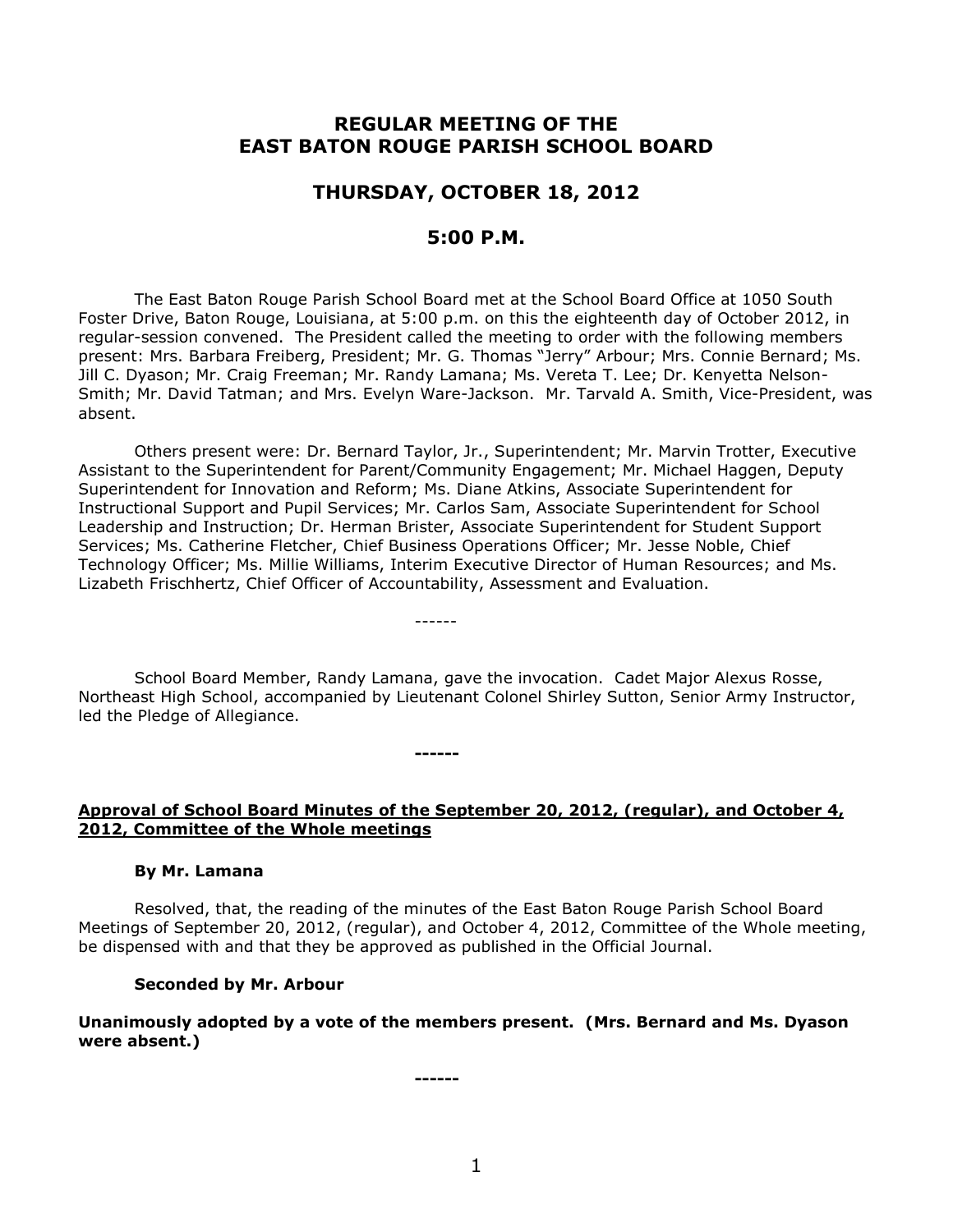# **REGULAR MEETING OF THE EAST BATON ROUGE PARISH SCHOOL BOARD**

# **THURSDAY, OCTOBER 18, 2012**

## **5:00 P.M.**

The East Baton Rouge Parish School Board met at the School Board Office at 1050 South Foster Drive, Baton Rouge, Louisiana, at 5:00 p.m. on this the eighteenth day of October 2012, in regular-session convened. The President called the meeting to order with the following members present: Mrs. Barbara Freiberg, President; Mr. G. Thomas "Jerry" Arbour; Mrs. Connie Bernard; Ms. Jill C. Dyason; Mr. Craig Freeman; Mr. Randy Lamana; Ms. Vereta T. Lee; Dr. Kenyetta Nelson-Smith; Mr. David Tatman; and Mrs. Evelyn Ware-Jackson. Mr. Tarvald A. Smith, Vice-President, was absent.

Others present were: Dr. Bernard Taylor, Jr., Superintendent; Mr. Marvin Trotter, Executive Assistant to the Superintendent for Parent/Community Engagement; Mr. Michael Haggen, Deputy Superintendent for Innovation and Reform; Ms. Diane Atkins, Associate Superintendent for Instructional Support and Pupil Services; Mr. Carlos Sam, Associate Superintendent for School Leadership and Instruction; Dr. Herman Brister, Associate Superintendent for Student Support Services; Ms. Catherine Fletcher, Chief Business Operations Officer; Mr. Jesse Noble, Chief Technology Officer; Ms. Millie Williams, Interim Executive Director of Human Resources; and Ms. Lizabeth Frischhertz, Chief Officer of Accountability, Assessment and Evaluation.

School Board Member, Randy Lamana, gave the invocation. Cadet Major Alexus Rosse, Northeast High School, accompanied by Lieutenant Colonel Shirley Sutton, Senior Army Instructor, led the Pledge of Allegiance.

------

**------**

### **Approval of School Board Minutes of the September 20, 2012, (regular), and October 4, 2012, Committee of the Whole meetings**

#### **By Mr. Lamana**

Resolved, that, the reading of the minutes of the East Baton Rouge Parish School Board Meetings of September 20, 2012, (regular), and October 4, 2012, Committee of the Whole meeting, be dispensed with and that they be approved as published in the Official Journal.

#### **Seconded by Mr. Arbour**

**Unanimously adopted by a vote of the members present. (Mrs. Bernard and Ms. Dyason were absent.)**

**------**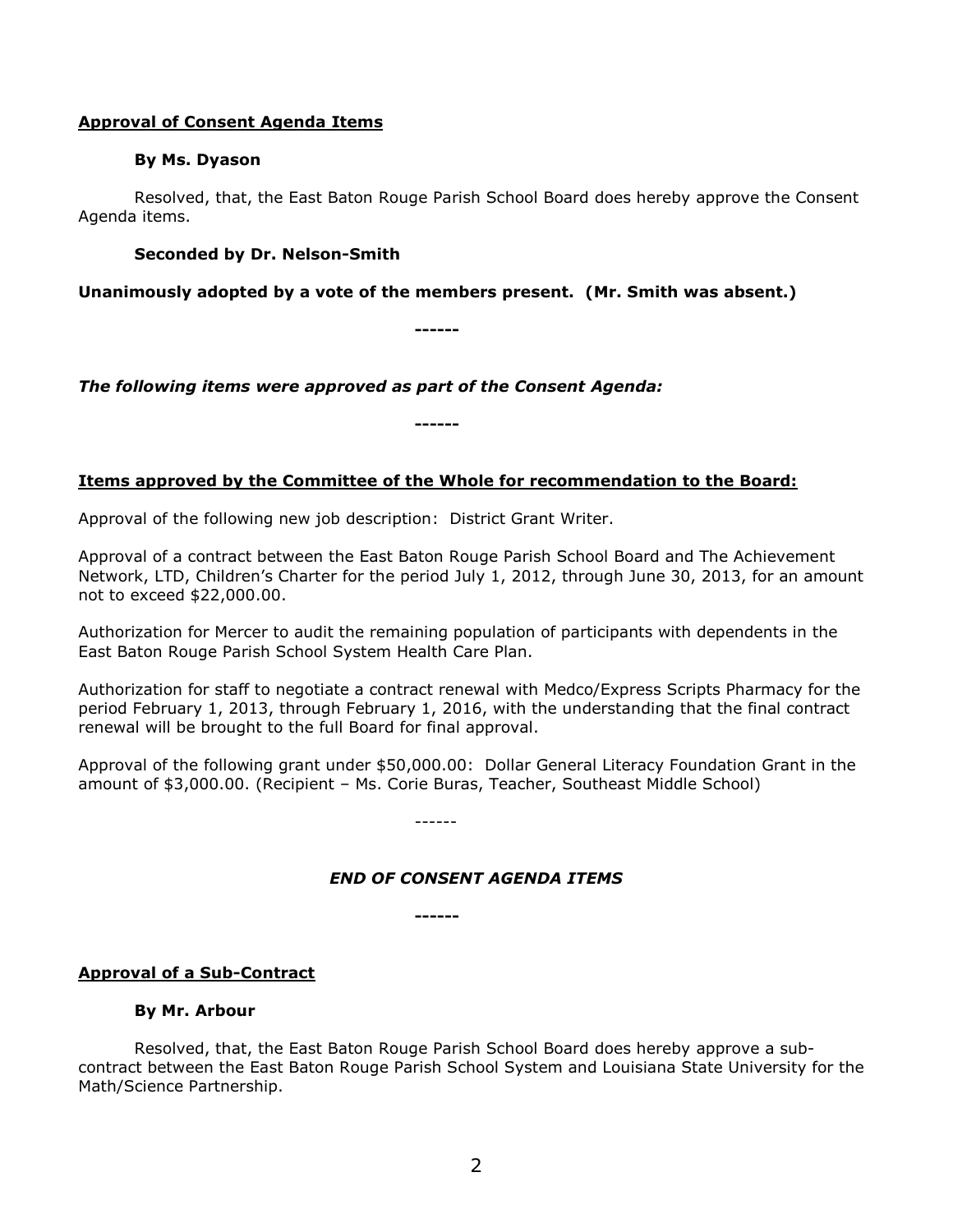### **Approval of Consent Agenda Items**

### **By Ms. Dyason**

Resolved, that, the East Baton Rouge Parish School Board does hereby approve the Consent Agenda items.

### **Seconded by Dr. Nelson-Smith**

**Unanimously adopted by a vote of the members present. (Mr. Smith was absent.)**

**------**

*The following items were approved as part of the Consent Agenda:*

**------**

## **Items approved by the Committee of the Whole for recommendation to the Board:**

Approval of the following new job description: District Grant Writer.

Approval of a contract between the East Baton Rouge Parish School Board and The Achievement Network, LTD, Children's Charter for the period July 1, 2012, through June 30, 2013, for an amount not to exceed \$22,000.00.

Authorization for Mercer to audit the remaining population of participants with dependents in the East Baton Rouge Parish School System Health Care Plan.

Authorization for staff to negotiate a contract renewal with Medco/Express Scripts Pharmacy for the period February 1, 2013, through February 1, 2016, with the understanding that the final contract renewal will be brought to the full Board for final approval.

Approval of the following grant under \$50,000.00: Dollar General Literacy Foundation Grant in the amount of \$3,000.00. (Recipient – Ms. Corie Buras, Teacher, Southeast Middle School)

------

## *END OF CONSENT AGENDA ITEMS*

**------**

## **Approval of a Sub-Contract**

### **By Mr. Arbour**

Resolved, that, the East Baton Rouge Parish School Board does hereby approve a subcontract between the East Baton Rouge Parish School System and Louisiana State University for the Math/Science Partnership.